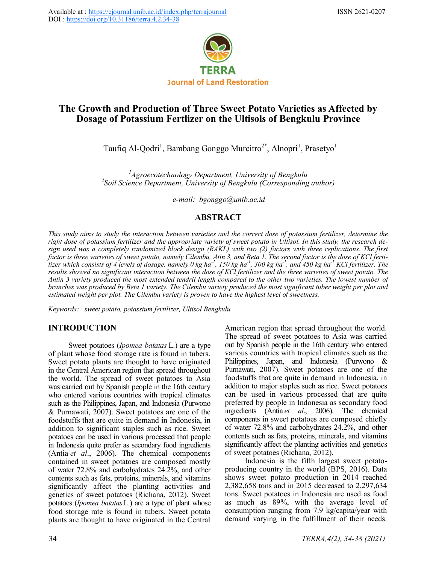

# **The Growth and Production of Three Sweet Potato Varieties as Affected by Dosage of Potassium Fertlizer on the Ultisols of Bengkulu Province**

Taufiq Al-Qodri<sup>1</sup>, Bambang Gonggo Murcitro<sup>2\*</sup>, Alnopri<sup>1</sup>, Prasetyo<sup>1</sup>

*<sup>1</sup>Agroecotechnology Department, University of Bengkulu 2 Soil Science Department, University of Bengkulu (Corresponding author)*

*e-mail: [bgonggo@unib.ac.id](mailto:bhermawan@unib.ac.id)*

### **ABSTRACT**

*This study aims to study the interaction between varieties and the correct dose of potassium fertilizer, determine the right dose of potassium fertilizer and the appropriate variety of sweet potato in Ultisol. In this study, the research design used was a completely randomized block design (RAKL) with two (2) factors with three replications. The first factor is three varieties of sweet potato, namely Cilembu, Atin 3, and Beta 1. The second factor is the dose of KCl fertilizer which consists of 4 levels of dosage, namely 0 kg ha-<sup>1</sup> , 150 kg ha-<sup>1</sup> , 300 kg ha-<sup>1</sup> , and 450 kg ha-<sup>1</sup> KCl fertilizer. The results showed no significant interaction between the dose of KCl fertilizer and the three varieties of sweet potato. The Antin 3 variety produced the most extended tendril length compared to the other two varieties. The lowest number of branches was produced by Beta 1 variety. The Cilembu variety produced the most significant tuber weight per plot and estimated weight per plot. The Cilembu variety is proven to have the highest level of sweetness.*

*Keywords: sweet potato, potassium fertilizer, Ultisol Bengkulu*

## **INTRODUCTION**

Sweet potatoes (*Ipomea batatas* L.) are a type of plant whose food storage rate is found in tubers. Sweet potato plants are thought to have originated in the Central American region that spread throughout the world. The spread of sweet potatoes to Asia was carried out by Spanish people in the 16th century who entered various countries with tropical climates such as the Philippines, Japan, and Indonesia (Purwono & Purnawati, 2007). Sweet potatoes are one of the foodstuffs that are quite in demand in Indonesia, in addition to significant staples such as rice. Sweet potatoes can be used in various processed that people in Indonesia quite prefer as secondary food ingredients (Antia *et al*., 2006). The chemical components contained in sweet potatoes are composed mostly of water 72.8% and carbohydrates 24.2%, and other contents such as fats, proteins, minerals, and vitamins significantly affect the planting activities and genetics of sweet potatoes (Richana, 2012). Sweet potatoes (*Ipomea batatas*L.) are a type of plant whose food storage rate is found in tubers. Sweet potato plants are thought to have originated in the Central

American region that spread throughout the world. The spread of sweet potatoes to Asia was carried out by Spanish people in the 16th century who entered various countries with tropical climates such as the Philippines, Japan, and Indonesia (Purwono & Purnawati, 2007). Sweet potatoes are one of the foodstuffs that are quite in demand in Indonesia, in addition to major staples such as rice. Sweet potatoes can be used in various processed that are quite preferred by people in Indonesia as secondary food ingredients (Antia *et al*., 2006). The chemical components in sweet potatoes are composed chiefly of water 72.8% and carbohydrates 24.2%, and other contents such as fats, proteins, minerals, and vitamins significantly affect the planting activities and genetics of sweet potatoes (Richana, 2012).

Indonesia is the fifth largest sweet potatoproducing country in the world (BPS, 2016). Data shows sweet potato production in 2014 reached 2,382,658 tons and in 2015 decreased to 2,297,634 tons. Sweet potatoes in Indonesia are used as food as much as 89%, with the average level of consumption ranging from 7.9 kg/capita/year with demand varying in the fulfillment of their needs.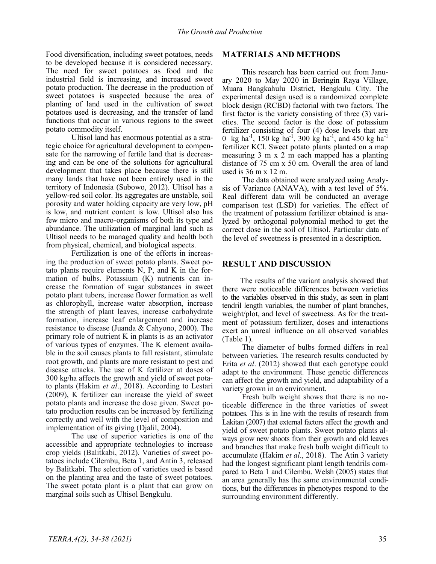Food diversification, including sweet potatoes, needs to be developed because it is considered necessary. The need for sweet potatoes as food and the industrial field is increasing, and increased sweet potato production. The decrease in the production of sweet potatoes is suspected because the area of planting of land used in the cultivation of sweet potatoes used is decreasing, and the transfer of land functions that occur in various regions to the sweet potato commodity itself.

Ultisol land has enormous potential as a strategic choice for agricultural development to compensate for the narrowing of fertile land that is decreasing and can be one of the solutions for agricultural development that takes place because there is still many lands that have not been entirely used in the territory of Indonesia (Subowo, 2012). Ultisol has a yellow-red soil color. Its aggregates are unstable, soil porosity and water holding capacity are very low, pH is low, and nutrient content is low. Ultisol also has few micro and macro-organisms of both its type and abundance. The utilization of marginal land such as Ultisol needs to be managed quality and health both from physical, chemical, and biological aspects.

Fertilization is one of the efforts in increasing the production of sweet potato plants. Sweet potato plants require elements N, P, and K in the formation of bulbs. Potassium (K) nutrients can increase the formation of sugar substances in sweet potato plant tubers, increase flower formation as well as chlorophyll, increase water absorption, increase the strength of plant leaves, increase carbohydrate formation, increase leaf enlargement and increase resistance to disease (Juanda & Cahyono, 2000). The primary role of nutrient K in plants is as an activator of various types of enzymes. The K element available in the soil causes plants to fall resistant, stimulate root growth, and plants are more resistant to pest and disease attacks. The use of K fertilizer at doses of 300 kg/ha affects the growth and yield of sweet potato plants (Hakim *et al*., 2018). According to Lestari (2009), K fertilizer can increase the yield of sweet potato plants and increase the dose given. Sweet potato production results can be increased by fertilizing correctly and well with the level of composition and implementation of its giving (Djalil, 2004).

The use of superior varieties is one of the accessible and appropriate technologies to increase crop yields (Balitkabi, 2012). Varieties of sweet potatoes include Cilembu, Beta 1, and Antin 3, released by Balitkabi. The selection of varieties used is based on the planting area and the taste of sweet potatoes. The sweet potato plant is a plant that can grow on marginal soils such as Ultisol Bengkulu.

#### **MATERIALS AND METHODS**

This research has been carried out from January 2020 to May 2020 in Beringin Raya Village, Muara Bangkahulu District, Bengkulu City. The experimental design used is a randomized complete block design (RCBD) factorial with two factors. The first factor is the variety consisting of three (3) varieties. The second factor is the dose of potassium fertilizer consisting of four (4) dose levels that are 0 kg ha<sup>-1</sup>, 150 kg ha<sup>-1</sup>, 300 kg ha<sup>-1</sup>, and 450 kg ha<sup>-1</sup> fertilizer KCl. Sweet potato plants planted on a map measuring 3 m x 2 m each mapped has a planting distance of 75 cm x 50 cm. Overall the area of land used is 36 m x 12 m.

The data obtained were analyzed using Analysis of Variance (ANAVA), with a test level of 5%. Real different data will be conducted an average comparison test (LSD) for varieties. The effect of the treatment of potassium fertilizer obtained is analyzed by orthogonal polynomial method to get the correct dose in the soil of Ultisol. Particular data of the level of sweetness is presented in a description.

#### **RESULT AND DISCUSSION**

The results of the variant analysis showed that there were noticeable differences between varieties to the variables observed in this study, as seen in plant tendril length variables, the number of plant branches, weight/plot, and level of sweetness. As for the treatment of potassium fertilizer, doses and interactions exert an unreal influence on all observed variables (Table 1).

The diameter of bulbs formed differs in real between varieties. The research results conducted by Erita *et al*. (2012) showed that each genotype could adapt to the environment. These genetic differences can affect the growth and yield, and adaptability of a variety grown in an environment.

Fresh bulb weight shows that there is no noticeable difference in the three varieties of sweet potatoes. This is in line with the results of research from Lakitan (2007) that external factors affect the growth and yield of sweet potato plants. Sweet potato plants always grow new shoots from their growth and old leaves and branches that make fresh bulb weight difficult to accumulate (Hakim *et al*., 2018). The Atin 3 variety had the longest significant plant length tendrils compared to Beta 1 and Cilembu. Welsh (2005) states that an area generally has the same environmental conditions, but the differences in phenotypes respond to the surrounding environment differently.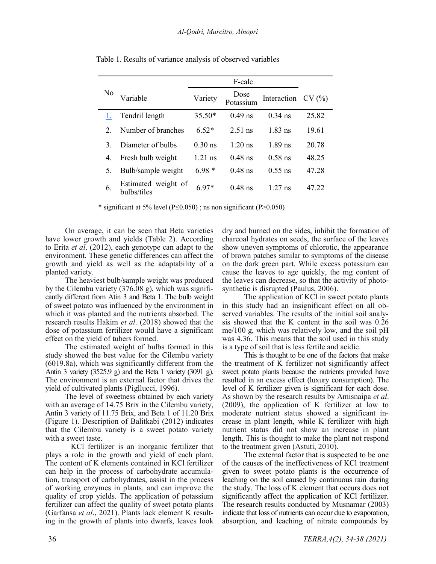| No      | Variable                           | Variety   | Dose<br>Potassium | Interaction | CV(%) |
|---------|------------------------------------|-----------|-------------------|-------------|-------|
|         | Tendril length                     | $35.50*$  | $0.49$ ns         | $0.34$ ns   | 25.82 |
| $2_{-}$ | Number of branches                 | $6.52*$   | $2.51$ ns         | $1.83$ ns   | 19.61 |
| 3.      | Diameter of bulbs                  | $0.30$ ns | $1.20$ ns         | $1.89$ ns   | 20.78 |
| 4.      | Fresh bulb weight                  | $1.21$ ns | $0.48$ ns         | $0.58$ ns   | 48.25 |
| 5.      | Bulb/sample weight                 | $6.98*$   | $0.48$ ns         | $0.55$ ns   | 47.28 |
| 6.      | Estimated weight of<br>bulbs/tiles | $6.97*$   | $0.48$ ns         | $1.27$ ns   | 47.22 |

Table 1. Results of variance analysis of observed variables

\* significant at 5% level (P≤0.050) ; ns non significant (P>0.050)

On average, it can be seen that Beta varieties have lower growth and yields (Table 2). According to Erita *et al*. (2012), each genotype can adapt to the environment. These genetic differences can affect the growth and yield as well as the adaptability of a planted variety.

The heaviest bulb/sample weight was produced by the Cilembu variety (376.08 g), which was significantly different from Atin 3 and Beta 1. The bulb weight of sweet potato was influenced by the environment in which it was planted and the nutrients absorbed. The research results Hakim *et al*. (2018) showed that the dose of potassium fertilizer would have a significant effect on the yield of tubers formed.

The estimated weight of bulbs formed in this study showed the best value for the Cilembu variety (6019.8a), which was significantly different from the Antin 3 variety (3525.9 g) and the Beta 1 variety (3091 g). The environment is an external factor that drives the yield of cultivated plants (Pigllucci, 1996).

The level of sweetness obtained by each variety with an average of 14.75 Brix in the Cilembu variety, Antin 3 variety of 11.75 Brix, and Beta 1 of 11.20 Brix (Figure 1). Description of Balitkabi (2012) indicates that the Cilembu variety is a sweet potato variety with a sweet taste.

KCl fertilizer is an inorganic fertilizer that plays a role in the growth and yield of each plant. The content of K elements contained in KCl fertilizer can help in the process of carbohydrate accumulation, transport of carbohydrates, assist in the process of working enzymes in plants, and can improve the quality of crop yields. The application of potassium fertilizer can affect the quality of sweet potato plants (Garfansa *et al*., 2021). Plants lack element K resulting in the growth of plants into dwarfs, leaves look dry and burned on the sides, inhibit the formation of charcoal hydrates on seeds, the surface of the leaves show uneven symptoms of chlorotic, the appearance of brown patches similar to symptoms of the disease on the dark green part. While excess potassium can cause the leaves to age quickly, the mg content of the leaves can decrease, so that the activity of photosynthetic is disrupted (Paulus, 2006).

The application of KCl in sweet potato plants in this study had an insignificant effect on all observed variables. The results of the initial soil analysis showed that the K content in the soil was 0.26 me/100 g, which was relatively low, and the soil pH was 4.36. This means that the soil used in this study is a type of soil that is less fertile and acidic.

This is thought to be one of the factors that make the treatment of  $\overline{K}$  fertilizer not significantly affect sweet potato plants because the nutrients provided have resulted in an excess effect (luxury consumption). The level of K fertilizer given is significant for each dose. As shown by the research results by Amisnaipa *et al*. (2009), the application of K fertilizer at low to moderate nutrient status showed a significant increase in plant length, while K fertilizer with high nutrient status did not show an increase in plant length. This is thought to make the plant not respond to the treatment given (Astuti, 2010).

The external factor that is suspected to be one of the causes of the ineffectiveness of KCl treatment given to sweet potato plants is the occurrence of leaching on the soil caused by continuous rain during the study. The loss of K element that occurs does not significantly affect the application of KCl fertilizer. The research results conducted by Musnamar (2003) indicate that loss of nutrients can occur due to evaporation, absorption, and leaching of nitrate compounds by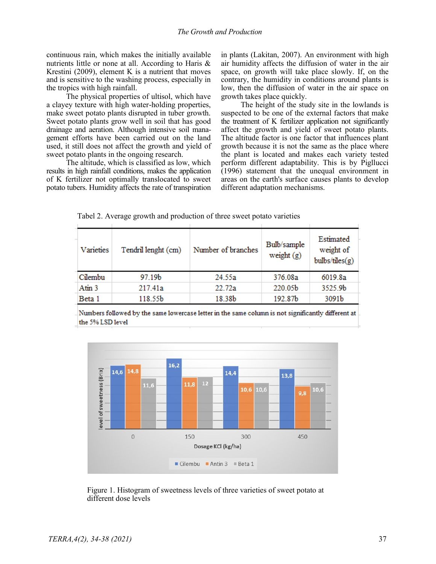continuous rain, which makes the initially available nutrients little or none at all. According to Haris & Krestini (2009), element K is a nutrient that moves and is sensitive to the washing process, especially in the tropics with high rainfall.

The physical properties of ultisol, which have a clayey texture with high water-holding properties, make sweet potato plants disrupted in tuber growth. Sweet potato plants grow well in soil that has good drainage and aeration. Although intensive soil management efforts have been carried out on the land used, it still does not affect the growth and yield of sweet potato plants in the ongoing research.

The altitude, which is classified as low, which results in high rainfall conditions, makes the application of K fertilizer not optimally translocated to sweet potato tubers. Humidity affects the rate of transpiration in plants (Lakitan, 2007). An environment with high air humidity affects the diffusion of water in the air space, on growth will take place slowly. If, on the contrary, the humidity in conditions around plants is low, then the diffusion of water in the air space on growth takes place quickly.

The height of the study site in the lowlands is suspected to be one of the external factors that make the treatment of K fertilizer application not significantly affect the growth and yield of sweet potato plants. The altitude factor is one factor that influences plant growth because it is not the same as the place where the plant is located and makes each variety tested perform different adaptability. This is by Pigllucci (1996) statement that the unequal environment in areas on the earth's surface causes plants to develop different adaptation mechanisms.

|  |  |  | Tabel 2. Average growth and production of three sweet potato varieties |
|--|--|--|------------------------------------------------------------------------|
|  |  |  |                                                                        |

| Varieties | Tendril lenght (cm) | Number of branches | Bulb/sample<br>weight $(g)$ | Estimated<br>weight of<br>bulbs/tiles(g) |
|-----------|---------------------|--------------------|-----------------------------|------------------------------------------|
| Cilembu   | 97.19b              | 24.55a             | 376.08a                     | 6019.8a                                  |
| Atin 3    | 217.41a             | 22.72a             | 220.05b                     | 3525.9b                                  |
| Beta 1    | 118.55b             | 18.38b             | 192.87b                     | 3091b                                    |
|           |                     |                    |                             |                                          |

Numbers followed by the same lowercase letter in the same column is not significantly different at the 5% LSD level



 Figure 1. Histogram of sweetness levels of three varieties of sweet potato at different dose levels